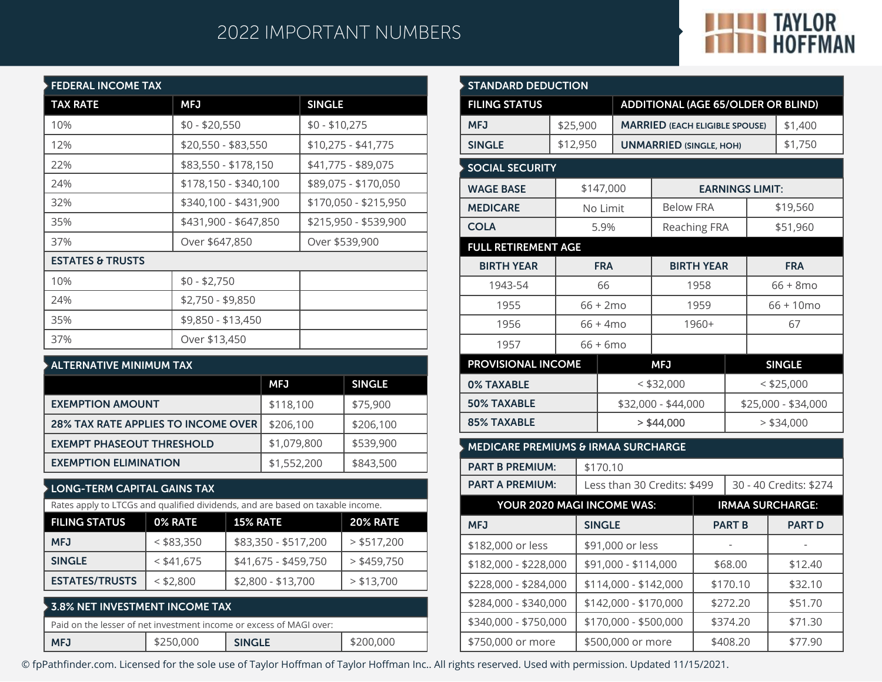# 2022 IMPORTANT NUMBERS



| <b>FEDERAL INCOME TAX</b>   |                       |                       |  |  |  |  |  |
|-----------------------------|-----------------------|-----------------------|--|--|--|--|--|
| <b>TAX RATE</b>             | <b>MFJ</b>            | <b>SINGLE</b>         |  |  |  |  |  |
| 10%                         | $$0 - $20,550$        | $$0 - $10,275$        |  |  |  |  |  |
| 12%                         | \$20,550 - \$83,550   | $$10,275 - $41,775$   |  |  |  |  |  |
| 22%                         | \$83,550 - \$178,150  | \$41,775 - \$89,075   |  |  |  |  |  |
| 24%                         | \$178,150 - \$340,100 | \$89,075 - \$170,050  |  |  |  |  |  |
| 32%                         | \$340,100 - \$431,900 | \$170,050 - \$215,950 |  |  |  |  |  |
| 35%                         | \$431,900 - \$647,850 | \$215,950 - \$539,900 |  |  |  |  |  |
| 37%                         | Over \$647,850        | Over \$539,900        |  |  |  |  |  |
| <b>ESTATES &amp; TRUSTS</b> |                       |                       |  |  |  |  |  |
| 10%                         | $$0 - $2,750$         |                       |  |  |  |  |  |
| 24%                         | \$2,750 - \$9,850     |                       |  |  |  |  |  |
| 35%                         | \$9,850 - \$13,450    |                       |  |  |  |  |  |
| 37%                         | Over \$13,450         |                       |  |  |  |  |  |

| $\blacktriangleright$ ALTERNATIVE MINIMUM TAX |             |               |  |  |  |  |
|-----------------------------------------------|-------------|---------------|--|--|--|--|
|                                               | <b>MFJ</b>  | <b>SINGLE</b> |  |  |  |  |
| <b>EXEMPTION AMOUNT</b>                       | \$118,100   | \$75,900      |  |  |  |  |
| <b>28% TAX RATE APPLIES TO INCOME OVER</b>    | \$206,100   | \$206,100     |  |  |  |  |
| <b>EXEMPT PHASEOUT THRESHOLD</b>              | \$1,079,800 | \$539,900     |  |  |  |  |
| <b>EXEMPTION ELIMINATION</b>                  | \$1,552,200 | \$843,500     |  |  |  |  |

## **LONG-TERM CAPITAL GAINS TAX**

| <b>FILING STATUS</b>  | <b>0% RATE</b> | <b>15% RATE</b>      | <b>20% RATE</b> |
|-----------------------|----------------|----------------------|-----------------|
| <b>MFJ</b>            | $<$ \$83,350   | \$83,350 - \$517,200 | $>$ \$517,200   |
| <b>SINGLE</b>         | $<$ \$41,675   | \$41,675 - \$459,750 | $>$ \$459,750   |
| <b>ESTATES/TRUSTS</b> | $<$ \$2,800    | \$2,800 - \$13,700   | > \$13.700      |

| $\blacktriangleright$ 3.8% NET INVESTMENT INCOME TAX.                                           |           |               |           |  |  |  |
|-------------------------------------------------------------------------------------------------|-----------|---------------|-----------|--|--|--|
| $\mathsf I\,$ Paid on the lesser of net investment income or excess of MAGI over: $\mathsf I\,$ |           |               |           |  |  |  |
| <b>MFJ</b>                                                                                      | \$250,000 | <b>SINGLE</b> | \$200,000 |  |  |  |

| <b>STANDARD DEDUCTION</b>                      |          |                    |                                           |                                                       |                     |               |                        |                         |
|------------------------------------------------|----------|--------------------|-------------------------------------------|-------------------------------------------------------|---------------------|---------------|------------------------|-------------------------|
| <b>FILING STATUS</b>                           |          |                    | <b>ADDITIONAL (AGE 65/OLDER OR BLIND)</b> |                                                       |                     |               |                        |                         |
| <b>MFJ</b>                                     | \$25,900 |                    | <b>MARRIED (EACH ELIGIBLE SPOUSE)</b>     |                                                       |                     |               | \$1,400                |                         |
| <b>SINGLE</b>                                  | \$12,950 |                    |                                           | <b>UNMARRIED (SINGLE, HOH)</b>                        |                     |               |                        | \$1,750                 |
| <b>SOCIAL SECURITY</b>                         |          |                    |                                           |                                                       |                     |               |                        |                         |
| <b>WAGE BASE</b>                               |          | \$147,000          |                                           |                                                       |                     |               | <b>EARNINGS LIMIT:</b> |                         |
| <b>MEDICARE</b>                                |          | No Limit           |                                           | <b>Below FRA</b>                                      |                     |               |                        | \$19,560                |
| <b>COLA</b>                                    |          | 5.9%               |                                           |                                                       | Reaching FRA        |               |                        | \$51,960                |
| <b>FULL RETIREMENT AGE</b>                     |          |                    |                                           |                                                       |                     |               |                        |                         |
| <b>BIRTH YEAR</b>                              |          | <b>FRA</b>         |                                           |                                                       | <b>BIRTH YEAR</b>   |               |                        | <b>FRA</b>              |
| 1943-54                                        |          | 66                 |                                           |                                                       | 1958                |               |                        | $66 + 8$ mo             |
| 1955                                           |          | $66 + 2mo$         |                                           |                                                       | 1959                |               | $66 + 10$ mo           |                         |
| 1956                                           |          | $66 + 4 \text{mo}$ | 1960+                                     |                                                       |                     |               |                        | 67                      |
| 1957                                           |          | $66 + 6$ mo        |                                           |                                                       |                     |               |                        |                         |
| <b>PROVISIONAL INCOME</b>                      |          |                    |                                           | <b>MFJ</b>                                            |                     | <b>SINGLE</b> |                        |                         |
| <b>0% TAXABLE</b>                              |          |                    |                                           | $<$ \$32,000                                          |                     | $<$ \$25,000  |                        |                         |
| <b>50% TAXABLE</b>                             |          |                    | \$32,000 - \$44,000                       |                                                       | \$25,000 - \$34,000 |               |                        |                         |
| <b>85% TAXABLE</b>                             |          |                    |                                           | $>$ \$44,000                                          | $>$ \$34,000        |               |                        |                         |
| <b>MEDICARE PREMIUMS &amp; IRMAA SURCHARGE</b> |          |                    |                                           |                                                       |                     |               |                        |                         |
| <b>PART B PREMIUM:</b>                         |          | \$170.10           |                                           |                                                       |                     |               |                        |                         |
| <b>PART A PREMIUM:</b>                         |          |                    |                                           | Less than 30 Credits: \$499<br>30 - 40 Credits: \$274 |                     |               |                        |                         |
| YOUR 2020 MAGI INCOME WAS:                     |          |                    |                                           |                                                       |                     |               |                        | <b>IRMAA SURCHARGE:</b> |
| <b>MFJ</b>                                     |          | <b>SINGLE</b>      |                                           |                                                       |                     | <b>PART B</b> |                        | <b>PART D</b>           |
| \$182,000 or less                              |          | \$91,000 or less   |                                           |                                                       |                     |               |                        |                         |
| \$182,000 - \$228,000                          |          |                    | \$91,000 - \$114,000                      |                                                       | \$68.00             |               |                        | \$12.40                 |
| \$228,000 - \$284,000                          |          |                    | \$114,000 - \$142,000<br>\$170.10         |                                                       | \$32.10             |               |                        |                         |
| \$284,000 - \$340,000                          |          |                    |                                           | \$142,000 - \$170,000<br>\$272.20                     |                     | \$51.70       |                        |                         |
| \$340,000 - \$750,000                          |          |                    |                                           | \$170,000 - \$500,000<br>\$374.20                     |                     | \$71.30       |                        |                         |
| \$750,000 or more                              |          |                    | \$500,000 or more                         | \$408.20                                              |                     | \$77.90       |                        |                         |

© fpPathfinder.com. Licensed for the sole use of Taylor Hoffman of Taylor Hoffman Inc.. All rights reserved. Used with permission. Updated 11/15/2021.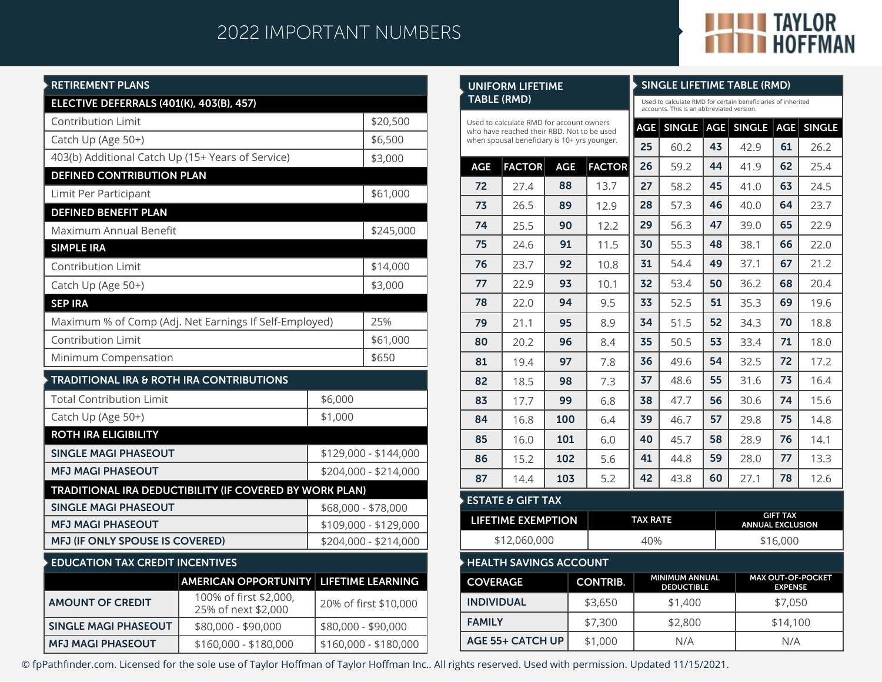# 2022 IMPORTANT NUMBERS



**SINGLE LIFETIME TABLE (RMD)**

### **RETIREMENT PLANS**

**MFJ MAGI PHASEOUT**

| KETIKEMENT PLANS                                       |                                                                |                       |                          |  |  |
|--------------------------------------------------------|----------------------------------------------------------------|-----------------------|--------------------------|--|--|
| <b>ELECTIVE DEFERRALS (401(K), 403(B), 457)</b>        |                                                                |                       |                          |  |  |
| <b>Contribution Limit</b>                              |                                                                |                       | \$20,500                 |  |  |
| Catch Up (Age 50+)                                     | \$6,500                                                        |                       |                          |  |  |
| 403(b) Additional Catch Up (15+ Years of Service)      |                                                                |                       | \$3,000                  |  |  |
| <b>DEFINED CONTRIBUTION PLAN</b>                       |                                                                |                       |                          |  |  |
| Limit Per Participant                                  |                                                                |                       | \$61,000                 |  |  |
| <b>DEFINED BENEFIT PLAN</b>                            |                                                                |                       |                          |  |  |
| Maximum Annual Benefit                                 |                                                                |                       | \$245,000                |  |  |
| <b>SIMPLE IRA</b>                                      |                                                                |                       |                          |  |  |
| <b>Contribution Limit</b>                              | \$14,000                                                       |                       |                          |  |  |
| Catch Up (Age 50+)                                     |                                                                |                       | \$3,000                  |  |  |
| <b>SEP IRA</b>                                         |                                                                |                       |                          |  |  |
| Maximum % of Comp (Adj. Net Earnings If Self-Employed) | 25%                                                            |                       |                          |  |  |
| <b>Contribution Limit</b>                              | \$61,000                                                       |                       |                          |  |  |
| Minimum Compensation                                   | \$650                                                          |                       |                          |  |  |
| <b>TRADITIONAL IRA &amp; ROTH IRA CONTRIBUTIONS</b>    |                                                                |                       |                          |  |  |
| <b>Total Contribution Limit</b>                        |                                                                | \$6,000               |                          |  |  |
| Catch Up (Age 50+)                                     |                                                                | \$1,000               |                          |  |  |
| <b>ROTH IRA ELIGIBILITY</b>                            |                                                                |                       |                          |  |  |
| <b>SINGLE MAGI PHASEOUT</b>                            |                                                                | \$129,000 - \$144,000 |                          |  |  |
| <b>MFJ MAGI PHASEOUT</b>                               |                                                                |                       | \$204,000 - \$214,000    |  |  |
|                                                        | <b>TRADITIONAL IRA DEDUCTIBILITY (IF COVERED BY WORK PLAN)</b> |                       |                          |  |  |
| <b>SINGLE MAGI PHASEOUT</b>                            |                                                                |                       | \$68,000 - \$78,000      |  |  |
| <b>MFJ MAGI PHASEOUT</b>                               |                                                                |                       | \$109,000 - \$129,000    |  |  |
| MFJ (IF ONLY SPOUSE IS COVERED)                        |                                                                |                       | \$204,000 - \$214,000    |  |  |
| <b>EDUCATION TAX CREDIT INCENTIVES</b>                 |                                                                |                       |                          |  |  |
|                                                        | <b>AMERICAN OPPORTUNITY</b>                                    |                       | <b>LIFETIME LEARNING</b> |  |  |
| <b>AMOUNT OF CREDIT</b>                                | 100% of first \$2,000,<br>25% of next \$2,000                  | 20% of first \$10,000 |                          |  |  |
| <b>SINGLE MAGI PHASEOUT</b>                            | \$80,000 - \$90,000                                            |                       | \$80,000 - \$90,000      |  |  |

\$160,000 - \$180,000

### **HEALTH SAVINGS ACCOUNT COVERAGE INDIVIDUAL FAMILY CONTRIB.** \$3,650 \$7,300 **MINIMUM ANNUAL DEDUCTIBLE MAX OUT-OF-POCKET EXPENSE** \$1,400 \$2,800 \$7,050 \$14,100 **AGE FACTOR AGE TABLE (RMD) AGE SINGLE AGE SINGLE AGE SINGLE** 60.2 59.2 58.2 57.3 56.3 55.3 54.4 53.4 52.5 51.5 50.5 49.6 48.6 47.7 46.7 45.7 42.9 41.9 41.0 40.0 39.0 38.1 37.1 36.2 35.3 34.3 33.4 32.5 31.6 30.6 29.8 28.9 44.8 **59** 28.0 43.8  $\vert$  60  $\vert$  27.1 Used to calculate RMD for certain beneficiaries of inherited accounts. This is an abbreviated version. **25 26 27 28 29 30 31 32 33 34 35 36 37 38 39 40 41 42 43 44 45 46 47 48 49 50 51 52 53 54 55 56 57 58 59 60** 26.2 25.4 24.5 23.7 22.9 22.0 21.2 20.4 19.6 18.8 18.0 17.2 16.4 15.6 14.8 14.1 13.3 12.6 **61 62 63 64 65 66 67 68 69 70 71 72 73 74 75 76 77 78 FACTOR** Used to calculate RMD for account owners who have reached their RBD. Not to be used when spousal beneficiary is 10+ yrs younger. **ESTATE & GIFT TAX LIFETIME EXEMPTION TAX RATE** \$12,060,000 40% \$16,000 **72 73 74 75 76 77 78 79 80 81 82 83 84 85 86 87 90 91 92 93 94 95 96 97 98 99 100 101 102** 27.4 26.5 25.5 24.6 23.7 22.9 22.0 21.1 20.2 19.4 18.5 17.7 16.8 16.0 15.2 14.4 **88** 13.7 **89** 12.9 12.2 11.5 10.8 10.1 9.5 8.9 8.4 7.8 7.3 6.8 6.4 6.0 5.6 **GIFT TAX ANNUAL EXCLUSION 103**  $\vert$  5.2

© fpPathfinder.com. Licensed for the sole use of Taylor Hoffman of Taylor Hoffman Inc.. All rights reserved. Used with permission. Updated 11/15/2021.

**AGE 55+ CATCH UP**

**UNIFORM LIFETIME**

\$1,000

N/A N/A

\$160,000 - \$180,000